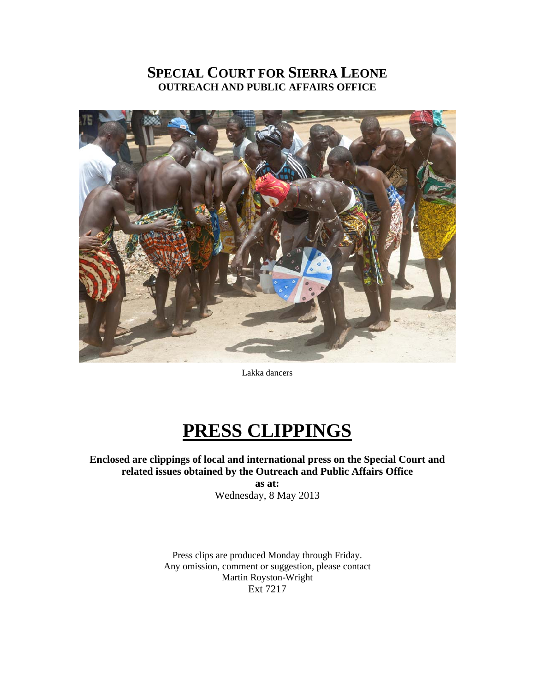# **SPECIAL COURT FOR SIERRA LEONE OUTREACH AND PUBLIC AFFAIRS OFFICE**



Lakka dancers

# **PRESS CLIPPINGS**

**Enclosed are clippings of local and international press on the Special Court and related issues obtained by the Outreach and Public Affairs Office as at:**  Wednesday, 8 May 2013

> Press clips are produced Monday through Friday. Any omission, comment or suggestion, please contact Martin Royston-Wright Ext 7217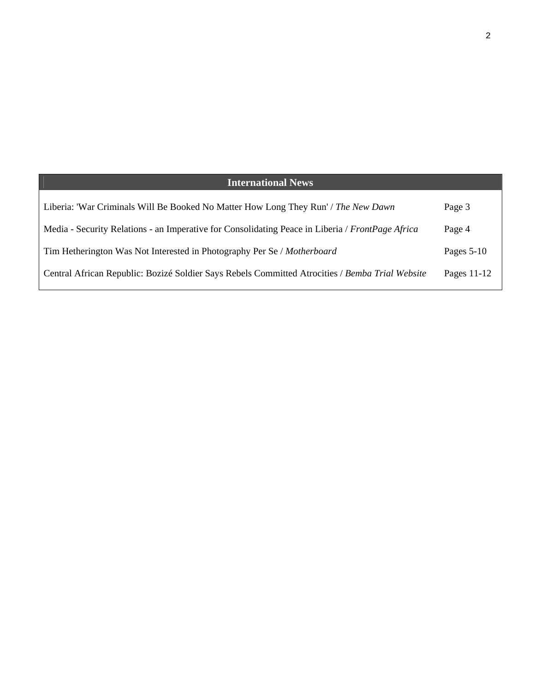| <b>International News</b>                                                                        |              |
|--------------------------------------------------------------------------------------------------|--------------|
| Liberia: 'War Criminals Will Be Booked No Matter How Long They Run' / The New Dawn               | Page 3       |
| Media - Security Relations - an Imperative for Consolidating Peace in Liberia / FrontPage Africa | Page 4       |
| Tim Hetherington Was Not Interested in Photography Per Se / Motherboard                          | Pages $5-10$ |
| Central African Republic: Bozizé Soldier Says Rebels Committed Atrocities / Bemba Trial Website  | Pages 11-12  |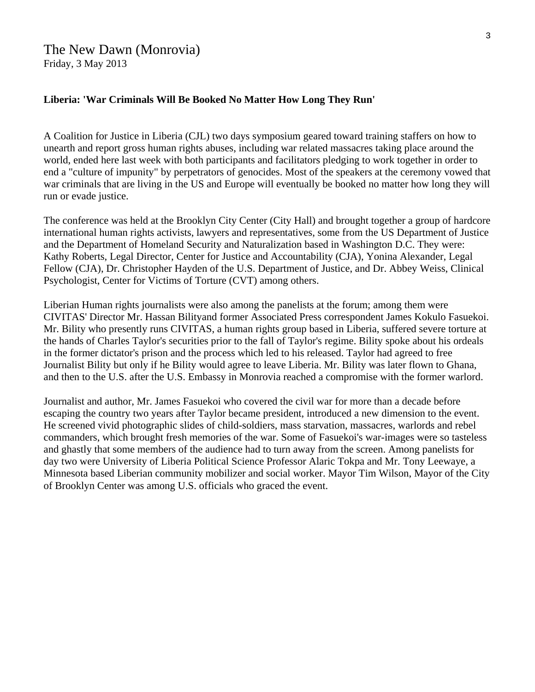# The New Dawn (Monrovia) Friday, 3 May 2013

#### **Liberia: 'War Criminals Will Be Booked No Matter How Long They Run'**

A Coalition for Justice in Liberia (CJL) two days symposium geared toward training staffers on how to unearth and report gross human rights abuses, including war related massacres taking place around the world, ended here last week with both participants and facilitators pledging to work together in order to end a "culture of impunity" by perpetrators of genocides. Most of the speakers at the ceremony vowed that war criminals that are living in the US and Europe will eventually be booked no matter how long they will run or evade justice.

The conference was held at the Brooklyn City Center (City Hall) and brought together a group of hardcore international human rights activists, lawyers and representatives, some from the US Department of Justice and the Department of Homeland Security and Naturalization based in Washington D.C. They were: Kathy Roberts, Legal Director, Center for Justice and Accountability (CJA), Yonina Alexander, Legal Fellow (CJA), Dr. Christopher Hayden of the U.S. Department of Justice, and Dr. Abbey Weiss, Clinical Psychologist, Center for Victims of Torture (CVT) among others.

Liberian Human rights journalists were also among the panelists at the forum; among them were CIVITAS' Director Mr. Hassan Bilityand former Associated Press correspondent James Kokulo Fasuekoi. Mr. Bility who presently runs CIVITAS, a human rights group based in Liberia, suffered severe torture at the hands of Charles Taylor's securities prior to the fall of Taylor's regime. Bility spoke about his ordeals in the former dictator's prison and the process which led to his released. Taylor had agreed to free Journalist Bility but only if he Bility would agree to leave Liberia. Mr. Bility was later flown to Ghana, and then to the U.S. after the U.S. Embassy in Monrovia reached a compromise with the former warlord.

Journalist and author, Mr. James Fasuekoi who covered the civil war for more than a decade before escaping the country two years after Taylor became president, introduced a new dimension to the event. He screened vivid photographic slides of child-soldiers, mass starvation, massacres, warlords and rebel commanders, which brought fresh memories of the war. Some of Fasuekoi's war-images were so tasteless and ghastly that some members of the audience had to turn away from the screen. Among panelists for day two were University of Liberia Political Science Professor Alaric Tokpa and Mr. Tony Leewaye, a Minnesota based Liberian community mobilizer and social worker. Mayor Tim Wilson, Mayor of the City of Brooklyn Center was among U.S. officials who graced the event.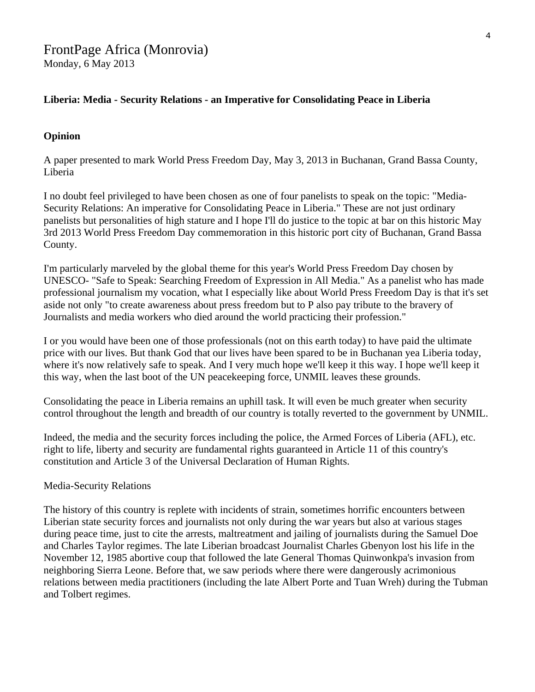## **Liberia: Media - Security Relations - an Imperative for Consolidating Peace in Liberia**

#### **Opinion**

A paper presented to mark World Press Freedom Day, May 3, 2013 in Buchanan, Grand Bassa County, Liberia

I no doubt feel privileged to have been chosen as one of four panelists to speak on the topic: "Media-Security Relations: An imperative for Consolidating Peace in Liberia." These are not just ordinary panelists but personalities of high stature and I hope I'll do justice to the topic at bar on this historic May 3rd 2013 World Press Freedom Day commemoration in this historic port city of Buchanan, Grand Bassa County.

I'm particularly marveled by the global theme for this year's World Press Freedom Day chosen by UNESCO- "Safe to Speak: Searching Freedom of Expression in All Media." As a panelist who has made professional journalism my vocation, what I especially like about World Press Freedom Day is that it's set aside not only "to create awareness about press freedom but to P also pay tribute to the bravery of Journalists and media workers who died around the world practicing their profession."

I or you would have been one of those professionals (not on this earth today) to have paid the ultimate price with our lives. But thank God that our lives have been spared to be in Buchanan yea Liberia today, where it's now relatively safe to speak. And I very much hope we'll keep it this way. I hope we'll keep it this way, when the last boot of the UN peacekeeping force, UNMIL leaves these grounds.

Consolidating the peace in Liberia remains an uphill task. It will even be much greater when security control throughout the length and breadth of our country is totally reverted to the government by UNMIL.

Indeed, the media and the security forces including the police, the Armed Forces of Liberia (AFL), etc. right to life, liberty and security are fundamental rights guaranteed in Article 11 of this country's constitution and Article 3 of the Universal Declaration of Human Rights.

#### Media-Security Relations

The history of this country is replete with incidents of strain, sometimes horrific encounters between Liberian state security forces and journalists not only during the war years but also at various stages during peace time, just to cite the arrests, maltreatment and jailing of journalists during the Samuel Doe and Charles Taylor regimes. The late Liberian broadcast Journalist Charles Gbenyon lost his life in the November 12, 1985 abortive coup that followed the late General Thomas Quinwonkpa's invasion from neighboring Sierra Leone. Before that, we saw periods where there were dangerously acrimonious relations between media practitioners (including the late Albert Porte and Tuan Wreh) during the Tubman and Tolbert regimes.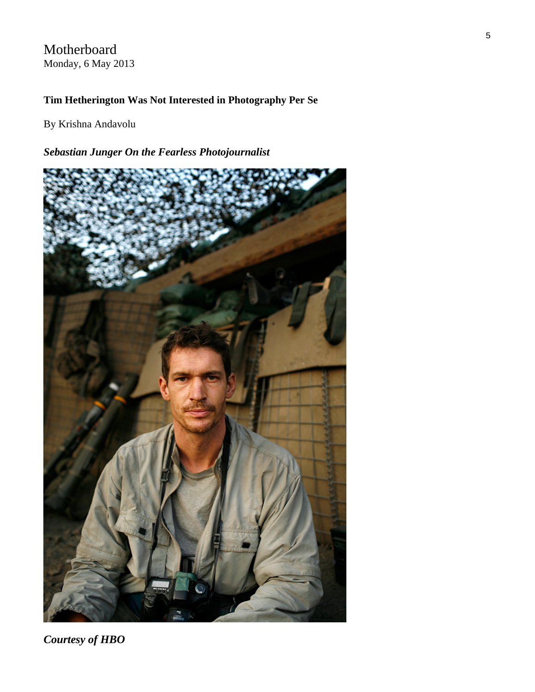# Motherboard Monday, 6 May 2013

## **Tim Hetherington Was Not Interested in Photography Per Se**

By Krishna Andavolu

# *Sebastian Junger On the Fearless Photojournalist*



*Courtesy of HBO*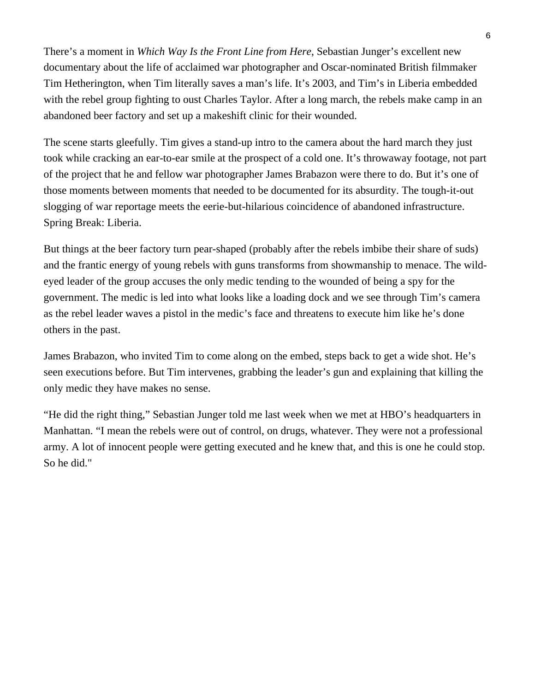There's a moment in *Which Way Is the Front Line from Here*, Sebastian Junger's [excellent new](http://www.hbo.com/documentaries/which-way-is-the-frontline-from-here-the-life-and-times-of-tim-heatherington/index.html)  [documentary](http://www.hbo.com/documentaries/which-way-is-the-frontline-from-here-the-life-and-times-of-tim-heatherington/index.html) about the life of acclaimed war photographer and Oscar-nominated British filmmaker Tim Hetherington, when Tim literally saves a man's life. It's 2003, and Tim's in Liberia embedded with the rebel group fighting to oust Charles Taylor. After a long march, the rebels make camp in an abandoned beer factory and set up a makeshift clinic for their wounded.

The scene starts gleefully. Tim gives a stand-up intro to the camera about the hard march they just took while cracking an ear-to-ear smile at the prospect of a cold one. It's throwaway footage, not part of the project that he and fellow war photographer James Brabazon were there to do. But it's one of those moments between moments that needed to be documented for its absurdity. The tough-it-out slogging of war reportage meets the eerie-but-hilarious coincidence of abandoned infrastructure. Spring Break: Liberia.

But things at the beer factory turn pear-shaped (probably after the rebels imbibe their share of suds) and the frantic energy of young rebels with guns transforms from showmanship to menace. The wildeyed leader of the group accuses the only medic tending to the wounded of being a spy for the government. The medic is led into what looks like a loading dock and we see through Tim's camera as the rebel leader waves a pistol in the medic's face and threatens to execute him like he's done others in the past.

James Brabazon, who invited Tim to come along on the embed, steps back to get a wide shot. He's seen executions before. But Tim intervenes, grabbing the leader's gun and explaining that killing the only medic they have makes no sense.

"He did the right thing," Sebastian Junger told me last week when we met at HBO's headquarters in Manhattan. "I mean the rebels were out of control, on drugs, whatever. They were not a professional army. A lot of innocent people were getting executed and he knew that, and this is one he could stop. So he did."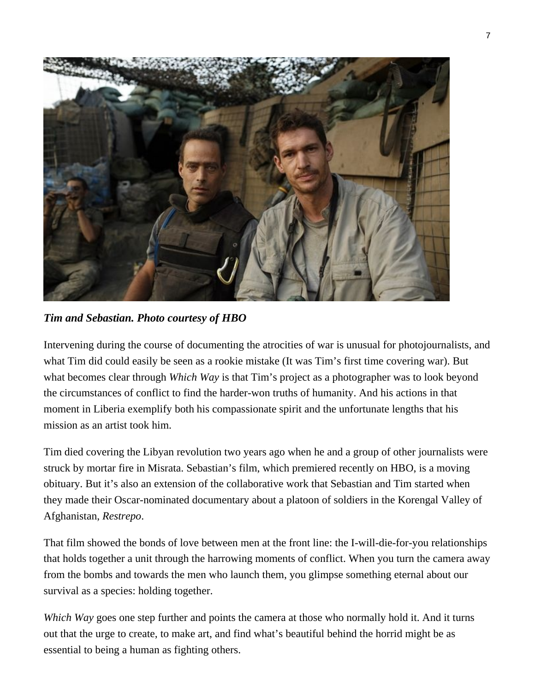

*Tim and Sebastian. Photo courtesy of HBO*

Intervening during the course of documenting the atrocities of war is unusual for photojournalists, and what Tim did could easily be seen as a rookie mistake (It was Tim's first time covering war). But what becomes clear through *Which Way* is that Tim's project as a photographer was to look beyond the circumstances of conflict to find the harder-won truths of humanity. And his actions in that moment in Liberia exemplify both his compassionate spirit and the unfortunate lengths that his mission as an artist took him.

Tim died covering the Libyan revolution two years ago when he and a group of other journalists were struck by mortar fire in Misrata. Sebastian's film, which premiered recently on HBO, is a moving obituary. But it's also an extension of the collaborative work that Sebastian and Tim started when they made their Oscar-nominated documentary about a platoon of soldiers in the Korengal Valley of Afghanistan, *Restrepo*.

That film showed the bonds of love between men at the front line: the I-will-die-for-you relationships that holds together a unit through the harrowing moments of conflict. When you turn the camera away from the bombs and towards the men who launch them, you glimpse something eternal about our survival as a species: holding together.

*Which Way* goes one step further and points the camera at those who normally hold it. And it turns out that the urge to create, to make art, and find what's beautiful behind the horrid might be as essential to being a human as fighting others.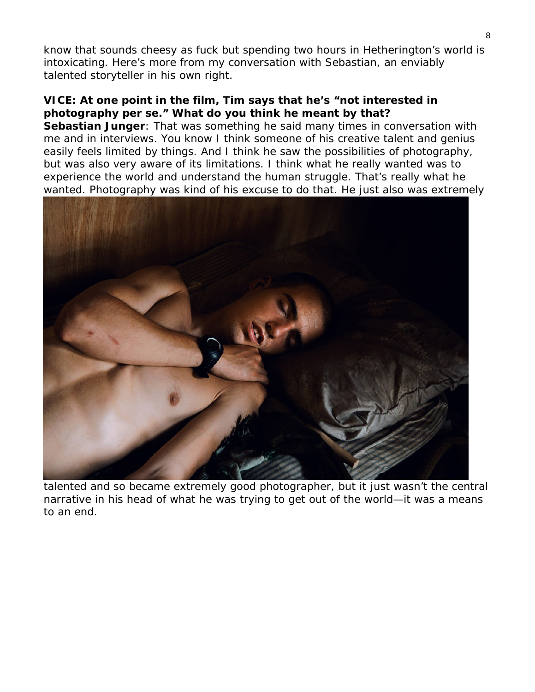know that sounds cheesy as fuck but spending two hours in Hetherington's world is intoxicating. Here's more from my conversation with Sebastian, an enviably talented storyteller in his own right.

# **VICE: At one point in the film, Tim says that he's "not interested in photography per se." What do you think he meant by that?**

**Sebastian Junger**: That was something he said many times in conversation with me and in interviews. You know I think someone of his creative talent and genius easily feels limited by things. And I think he saw the possibilities of photography, but was also very aware of its limitations. I think what he really wanted was to experience the world and understand the human struggle. That's really what he wanted. Photography was kind of his excuse to do that. He just also was extremely



talented and so became extremely good photographer, but it just wasn't the central narrative in his head of what he was trying to get out of the world—it was a means to an end.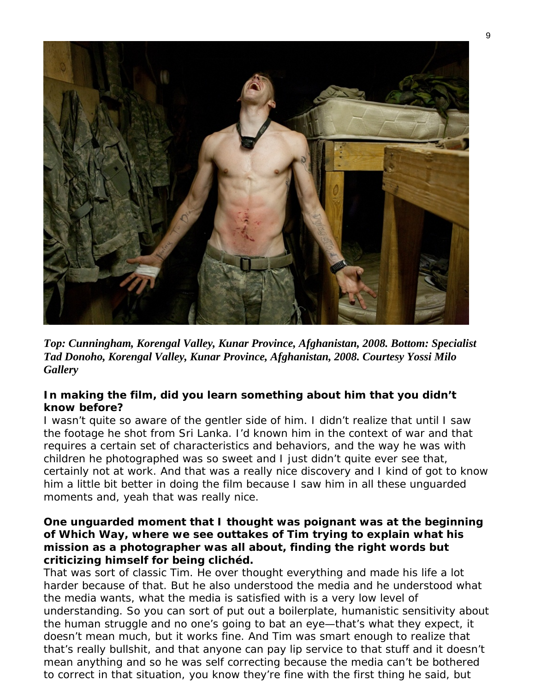

*Top: Cunningham, Korengal Valley, Kunar Province, Afghanistan, 2008. Bottom: Specialist Tad Donoho, Korengal Valley, Kunar Province, Afghanistan, 2008. Courtesy [Yossi Milo](http://www.yossimilo.com/artists/tim-hetherington/)  [Gallery](http://www.yossimilo.com/artists/tim-hetherington/)* 

# **In making the film, did you learn something about him that you didn't know before?**

I wasn't quite so aware of the gentler side of him. I didn't realize that until I saw the footage he shot from Sri Lanka. I'd known him in the context of war and that requires a certain set of characteristics and behaviors, and the way he was with children he photographed was so sweet and I just didn't quite ever see that, certainly not at work. And that was a really nice discovery and I kind of got to know him a little bit better in doing the film because I saw him in all these unguarded moments and, yeah that was really nice.

## **One unguarded moment that I thought was poignant was at the beginning of Which Way, where we see outtakes of Tim trying to explain what his mission as a photographer was all about, finding the right words but criticizing himself for being clichéd.**

That was sort of classic Tim. He over thought everything and made his life a lot harder because of that. But he also understood the media and he understood what the media wants, what the media is satisfied with is a very low level of understanding. So you can sort of put out a boilerplate, humanistic sensitivity about the human struggle and no one's going to bat an eye—that's what they expect, it doesn't mean much, but it works fine. And Tim was smart enough to realize that that's really bullshit, and that anyone can pay lip service to that stuff and it doesn't mean anything and so he was self correcting because the media can't be bothered to correct in that situation, you know they're fine with the first thing he said, but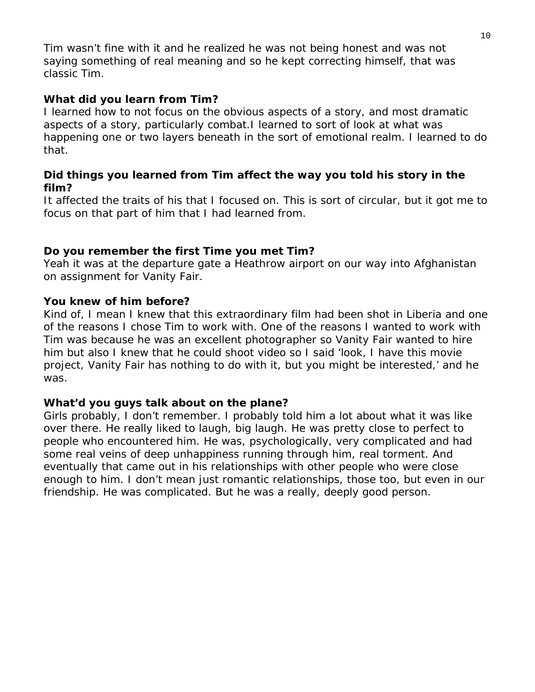Tim wasn't fine with it and he realized he was not being honest and was not saying something of real meaning and so he kept correcting himself, that was classic Tim.

# **What did you learn from Tim?**

I learned how to not focus on the obvious aspects of a story, and most dramatic aspects of a story, particularly combat.I learned to sort of look at what was happening one or two layers beneath in the sort of emotional realm. I learned to do that.

# **Did things you learned from Tim affect the way you told his story in the film?**

It affected the traits of his that I focused on. This is sort of circular, but it got me to focus on that part of him that I had learned from.

# **Do you remember the first Time you met Tim?**

Yeah it was at the departure gate a Heathrow airport on our way into Afghanistan on assignment for *Vanity Fair.*

# **You knew of him before?**

Kind of, I mean I knew that this extraordinary film had been shot in Liberia and one of the reasons I chose Tim to work with. One of the reasons I wanted to work with Tim was because he was an excellent photographer so *Vanity Fair* wanted to hire him but also I knew that he could shoot video so I said 'look, I have this movie project, *Vanity Fair* has nothing to do with it, but you might be interested,' and he was.

# **What'd you guys talk about on the plane?**

Girls probably, I don't remember. I probably told him a lot about what it was like over there. He really liked to laugh, big laugh. He was pretty close to perfect to people who encountered him. He was, psychologically, very complicated and had some real veins of deep unhappiness running through him, real torment. And eventually that came out in his relationships with other people who were close enough to him. I don't mean just romantic relationships, those too, but even in our friendship. He was complicated. But he was a really, deeply good person.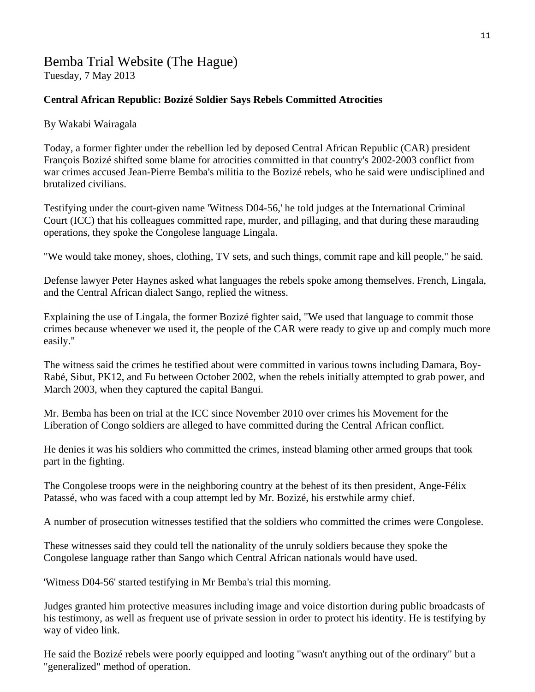# Bemba Trial Website (The Hague) Tuesday, 7 May 2013

### **Central African Republic: Bozizé Soldier Says Rebels Committed Atrocities**

By Wakabi Wairagala

Today, a former fighter under the rebellion led by deposed Central African Republic (CAR) president François Bozizé shifted some blame for atrocities committed in that country's 2002-2003 conflict from war crimes accused Jean-Pierre Bemba's militia to the Bozizé rebels, who he said were undisciplined and brutalized civilians.

Testifying under the court-given name 'Witness D04-56,' he told judges at the International Criminal Court (ICC) that his colleagues committed rape, murder, and pillaging, and that during these marauding operations, they spoke the Congolese language Lingala.

"We would take money, shoes, clothing, TV sets, and such things, commit rape and kill people," he said.

Defense lawyer Peter Haynes asked what languages the rebels spoke among themselves. French, Lingala, and the Central African dialect Sango, replied the witness.

Explaining the use of Lingala, the former Bozizé fighter said, "We used that language to commit those crimes because whenever we used it, the people of the CAR were ready to give up and comply much more easily."

The witness said the crimes he testified about were committed in various towns including Damara, Boy-Rabé, Sibut, PK12, and Fu between October 2002, when the rebels initially attempted to grab power, and March 2003, when they captured the capital Bangui.

Mr. Bemba has been on trial at the ICC since November 2010 over crimes his Movement for the Liberation of Congo soldiers are alleged to have committed during the Central African conflict.

He denies it was his soldiers who committed the crimes, instead blaming other armed groups that took part in the fighting.

The Congolese troops were in the neighboring country at the behest of its then president, Ange-Félix Patassé, who was faced with a coup attempt led by Mr. Bozizé, his erstwhile army chief.

A number of prosecution witnesses testified that the soldiers who committed the crimes were Congolese.

These witnesses said they could tell the nationality of the unruly soldiers because they spoke the Congolese language rather than Sango which Central African nationals would have used.

'Witness D04-56' started testifying in Mr Bemba's trial this morning.

Judges granted him protective measures including image and voice distortion during public broadcasts of his testimony, as well as frequent use of private session in order to protect his identity. He is testifying by way of video link.

He said the Bozizé rebels were poorly equipped and looting "wasn't anything out of the ordinary" but a "generalized" method of operation.